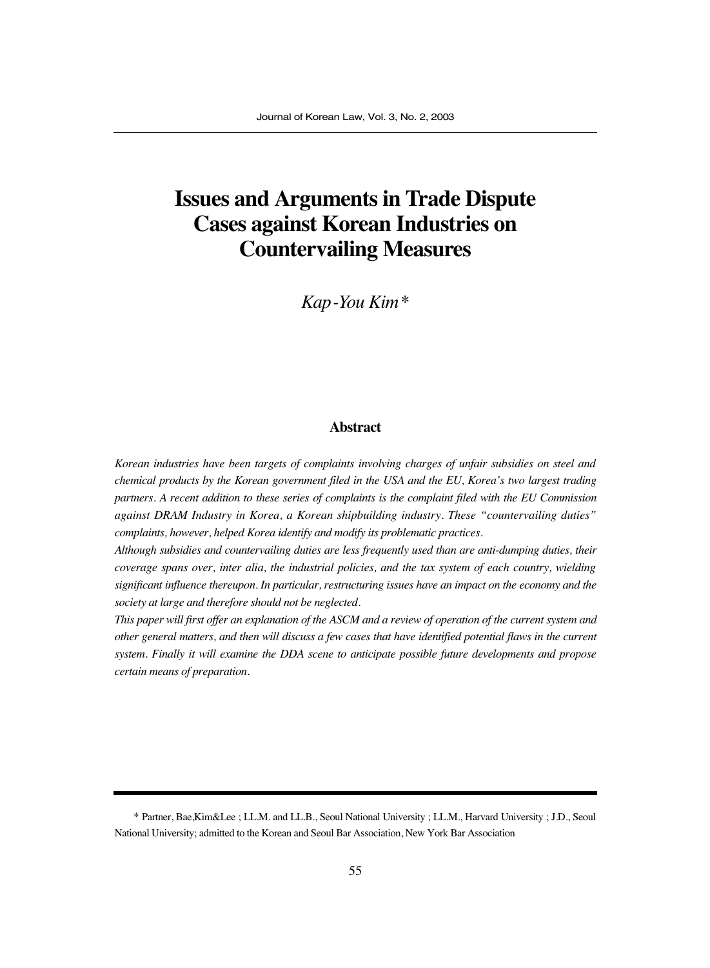# **Issues and Arguments in Trade Dispute Cases against Korean Industries on Countervailing Measures**

*Kap-You Kim\**

#### **Abstract**

*Korean industries have been targets of complaints involving charges of unfair subsidies on steel and chemical products by the Korean government filed in the USA and the EU, Korea's two largest trading partners. A recent addition to these series of complaints is the complaint filed with the EU Commission against DRAM Industry in Korea, a Korean shipbuilding industry. These "countervailing duties" complaints, however, helped Korea identify and modify its problematic practices.*

*Although subsidies and countervailing duties are less frequently used than are anti-dumping duties, their coverage spans over, inter alia, the industrial policies, and the tax system of each country, wielding significant influence thereupon. In particular, restructuring issues have an impact on the economy and the society at large and therefore should not be neglected.*

*This paper will first offer an explanation of the ASCM and a review of operation of the current system and other general matters, and then will discuss a few cases that have identified potential flaws in the current system. Finally it will examine the DDA scene to anticipate possible future developments and propose certain means of preparation.*

<sup>\*</sup> Partner, Bae,Kim&Lee ; LL.M. and LL.B., Seoul National University ; LL.M., Harvard University ; J.D., Seoul National University; admitted to the Korean and Seoul Bar Association, New York Bar Association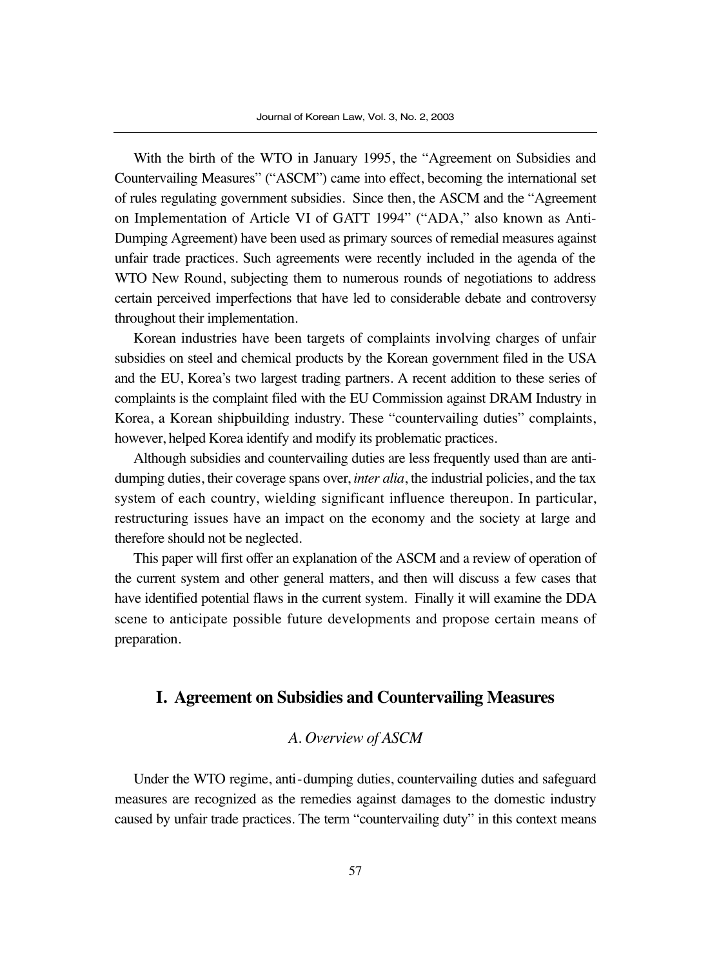With the birth of the WTO in January 1995, the "Agreement on Subsidies and Countervailing Measures" ("ASCM") came into effect, becoming the international set of rules regulating government subsidies. Since then, the ASCM and the "Agreement on Implementation of Article VI of GATT 1994" ("ADA," also known as Anti-Dumping Agreement) have been used as primary sources of remedial measures against unfair trade practices. Such agreements were recently included in the agenda of the WTO New Round, subjecting them to numerous rounds of negotiations to address certain perceived imperfections that have led to considerable debate and controversy throughout their implementation.

Korean industries have been targets of complaints involving charges of unfair subsidies on steel and chemical products by the Korean government filed in the USA and the EU, Korea's two largest trading partners. A recent addition to these series of complaints is the complaint filed with the EU Commission against DRAM Industry in Korea, a Korean shipbuilding industry. These "countervailing duties" complaints, however, helped Korea identify and modify its problematic practices.

Although subsidies and countervailing duties are less frequently used than are antidumping duties, their coverage spans over, *inter alia*, the industrial policies, and the tax system of each country, wielding significant influence thereupon. In particular, restructuring issues have an impact on the economy and the society at large and therefore should not be neglected.

This paper will first offer an explanation of the ASCM and a review of operation of the current system and other general matters, and then will discuss a few cases that have identified potential flaws in the current system. Finally it will examine the DDA scene to anticipate possible future developments and propose certain means of preparation.

# **I. Agreement on Subsidies and Countervailing Measures**

# *A. Overview of ASCM*

Under the WTO regime, anti-dumping duties, countervailing duties and safeguard measures are recognized as the remedies against damages to the domestic industry caused by unfair trade practices. The term "countervailing duty" in this context means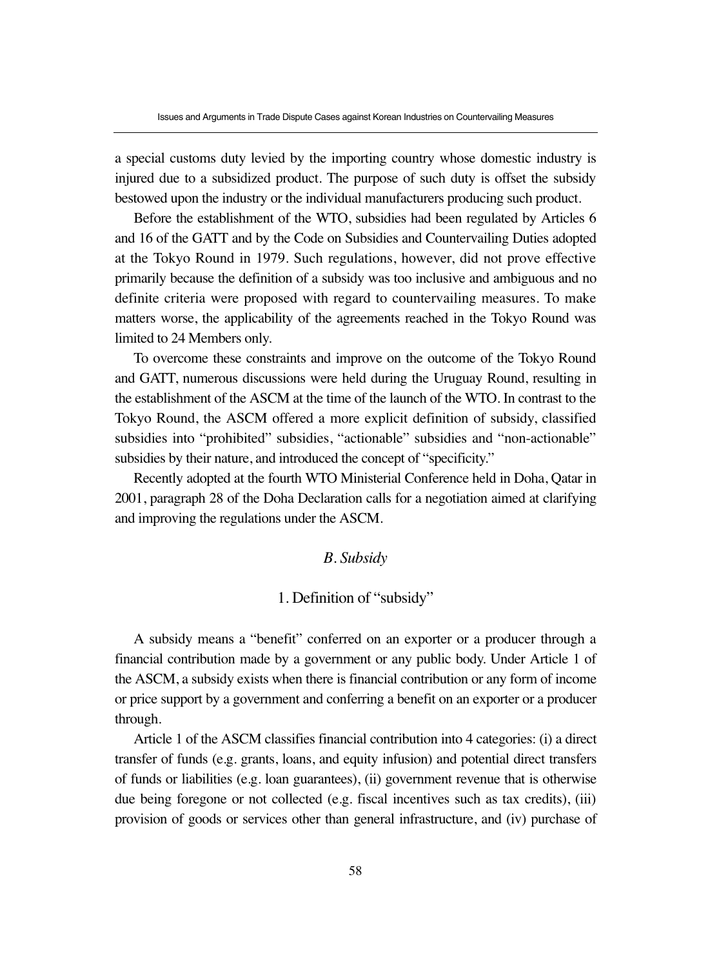a special customs duty levied by the importing country whose domestic industry is injured due to a subsidized product. The purpose of such duty is offset the subsidy bestowed upon the industry or the individual manufacturers producing such product.

Before the establishment of the WTO, subsidies had been regulated by Articles 6 and 16 of the GATT and by the Code on Subsidies and Countervailing Duties adopted at the Tokyo Round in 1979. Such regulations, however, did not prove effective primarily because the definition of a subsidy was too inclusive and ambiguous and no definite criteria were proposed with regard to countervailing measures. To make matters worse, the applicability of the agreements reached in the Tokyo Round was limited to 24 Members only.

To overcome these constraints and improve on the outcome of the Tokyo Round and GATT, numerous discussions were held during the Uruguay Round, resulting in the establishment of the ASCM at the time of the launch of the WTO. In contrast to the Tokyo Round, the ASCM offered a more explicit definition of subsidy, classified subsidies into "prohibited" subsidies, "actionable" subsidies and "non-actionable" subsidies by their nature, and introduced the concept of "specificity."

Recently adopted at the fourth WTO Ministerial Conference held in Doha, Qatar in 2001, paragraph 28 of the Doha Declaration calls for a negotiation aimed at clarifying and improving the regulations under the ASCM.

## *B. Subsidy*

# 1. Definition of "subsidy"

A subsidy means a "benefit" conferred on an exporter or a producer through a financial contribution made by a government or any public body. Under Article 1 of the ASCM, a subsidy exists when there is financial contribution or any form of income or price support by a government and conferring a benefit on an exporter or a producer through.

Article 1 of the ASCM classifies financial contribution into 4 categories: (i) a direct transfer of funds (e.g. grants, loans, and equity infusion) and potential direct transfers of funds or liabilities (e.g. loan guarantees), (ii) government revenue that is otherwise due being foregone or not collected (e.g. fiscal incentives such as tax credits), (iii) provision of goods or services other than general infrastructure, and (iv) purchase of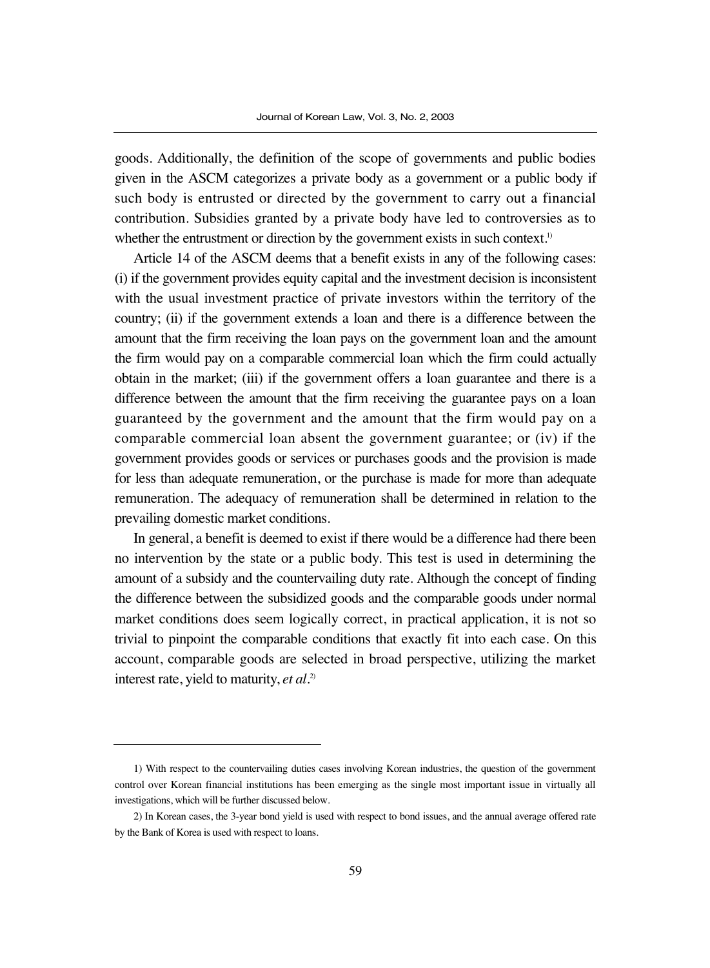goods. Additionally, the definition of the scope of governments and public bodies given in the ASCM categorizes a private body as a government or a public body if such body is entrusted or directed by the government to carry out a financial contribution. Subsidies granted by a private body have led to controversies as to whether the entrustment or direction by the government exists in such context.<sup>1)</sup>

Article 14 of the ASCM deems that a benefit exists in any of the following cases: (i) if the government provides equity capital and the investment decision is inconsistent with the usual investment practice of private investors within the territory of the country; (ii) if the government extends a loan and there is a difference between the amount that the firm receiving the loan pays on the government loan and the amount the firm would pay on a comparable commercial loan which the firm could actually obtain in the market; (iii) if the government offers a loan guarantee and there is a difference between the amount that the firm receiving the guarantee pays on a loan guaranteed by the government and the amount that the firm would pay on a comparable commercial loan absent the government guarantee; or (iv) if the government provides goods or services or purchases goods and the provision is made for less than adequate remuneration, or the purchase is made for more than adequate remuneration. The adequacy of remuneration shall be determined in relation to the prevailing domestic market conditions.

In general, a benefit is deemed to exist if there would be a difference had there been no intervention by the state or a public body. This test is used in determining the amount of a subsidy and the countervailing duty rate. Although the concept of finding the difference between the subsidized goods and the comparable goods under normal market conditions does seem logically correct, in practical application, it is not so trivial to pinpoint the comparable conditions that exactly fit into each case. On this account, comparable goods are selected in broad perspective, utilizing the market interest rate, yield to maturity, *et al*. 2)

<sup>1)</sup> With respect to the countervailing duties cases involving Korean industries, the question of the government control over Korean financial institutions has been emerging as the single most important issue in virtually all investigations, which will be further discussed below.

<sup>2)</sup> In Korean cases, the 3-year bond yield is used with respect to bond issues, and the annual average offered rate by the Bank of Korea is used with respect to loans.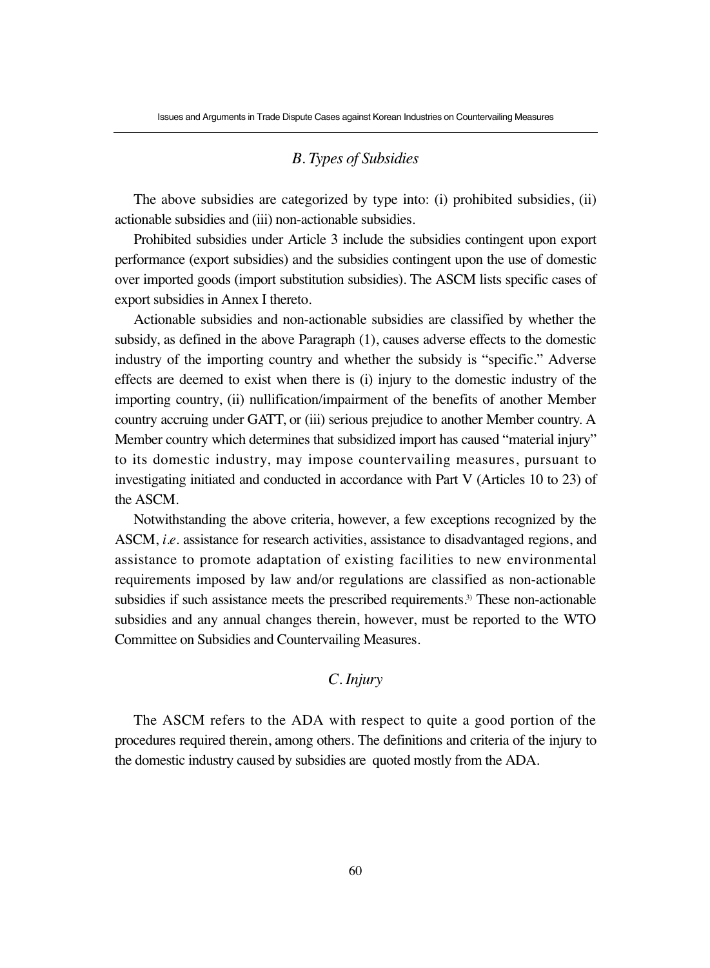#### *B. Types of Subsidies*

The above subsidies are categorized by type into: (i) prohibited subsidies, (ii) actionable subsidies and (iii) non-actionable subsidies.

Prohibited subsidies under Article 3 include the subsidies contingent upon export performance (export subsidies) and the subsidies contingent upon the use of domestic over imported goods (import substitution subsidies). The ASCM lists specific cases of export subsidies in Annex I thereto.

Actionable subsidies and non-actionable subsidies are classified by whether the subsidy, as defined in the above Paragraph (1), causes adverse effects to the domestic industry of the importing country and whether the subsidy is "specific." Adverse effects are deemed to exist when there is (i) injury to the domestic industry of the importing country, (ii) nullification/impairment of the benefits of another Member country accruing under GATT, or (iii) serious prejudice to another Member country. A Member country which determines that subsidized import has caused "material injury" to its domestic industry, may impose countervailing measures, pursuant to investigating initiated and conducted in accordance with Part V (Articles 10 to 23) of the ASCM.

Notwithstanding the above criteria, however, a few exceptions recognized by the ASCM, *i.e*. assistance for research activities, assistance to disadvantaged regions, and assistance to promote adaptation of existing facilities to new environmental requirements imposed by law and/or regulations are classified as non-actionable subsidies if such assistance meets the prescribed requirements.<sup>3)</sup> These non-actionable subsidies and any annual changes therein, however, must be reported to the WTO Committee on Subsidies and Countervailing Measures.

# *C. Injury*

The ASCM refers to the ADA with respect to quite a good portion of the procedures required therein, among others. The definitions and criteria of the injury to the domestic industry caused by subsidies are quoted mostly from the ADA.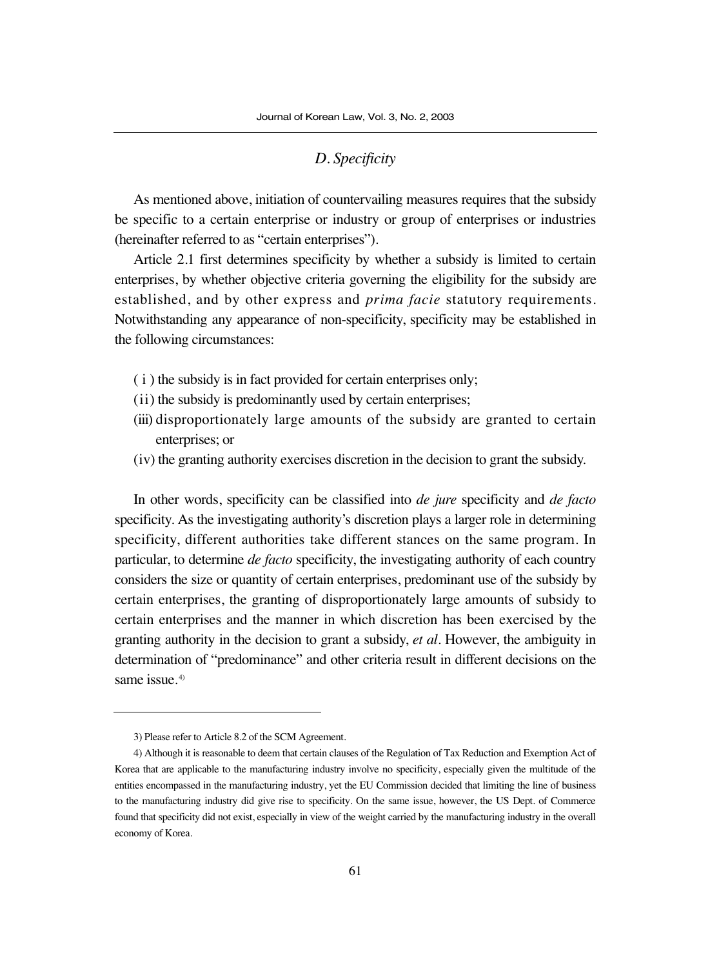## *D. Specificity*

As mentioned above, initiation of countervailing measures requires that the subsidy be specific to a certain enterprise or industry or group of enterprises or industries (hereinafter referred to as "certain enterprises").

Article 2.1 first determines specificity by whether a subsidy is limited to certain enterprises, by whether objective criteria governing the eligibility for the subsidy are established, and by other express and *prima facie* statutory requirements. Notwithstanding any appearance of non-specificity, specificity may be established in the following circumstances:

- ( i ) the subsidy is in fact provided for certain enterprises only;
- (ii) the subsidy is predominantly used by certain enterprises;
- (iii) disproportionately large amounts of the subsidy are granted to certain enterprises; or
- (iv) the granting authority exercises discretion in the decision to grant the subsidy.

In other words, specificity can be classified into *de jure* specificity and *de facto* specificity. As the investigating authority's discretion plays a larger role in determining specificity, different authorities take different stances on the same program. In particular, to determine *de facto* specificity, the investigating authority of each country considers the size or quantity of certain enterprises, predominant use of the subsidy by certain enterprises, the granting of disproportionately large amounts of subsidy to certain enterprises and the manner in which discretion has been exercised by the granting authority in the decision to grant a subsidy, *et al*. However, the ambiguity in determination of "predominance" and other criteria result in different decisions on the same issue.<sup>4)</sup>

<sup>3)</sup> Please refer to Article 8.2 of the SCM Agreement.

<sup>4)</sup> Although it is reasonable to deem that certain clauses of the Regulation of Tax Reduction and Exemption Act of Korea that are applicable to the manufacturing industry involve no specificity, especially given the multitude of the entities encompassed in the manufacturing industry, yet the EU Commission decided that limiting the line of business to the manufacturing industry did give rise to specificity. On the same issue, however, the US Dept. of Commerce found that specificity did not exist, especially in view of the weight carried by the manufacturing industry in the overall economy of Korea.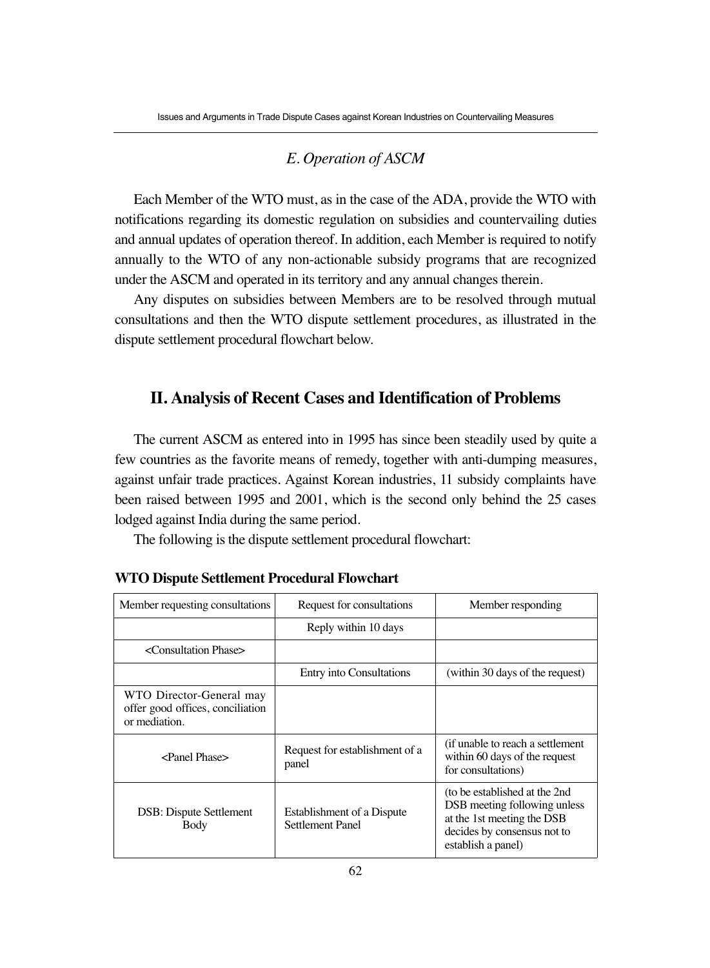## *E. Operation of ASCM*

Each Member of the WTO must, as in the case of the ADA, provide the WTO with notifications regarding its domestic regulation on subsidies and countervailing duties and annual updates of operation thereof. In addition, each Member is required to notify annually to the WTO of any non-actionable subsidy programs that are recognized under the ASCM and operated in its territory and any annual changes therein.

Any disputes on subsidies between Members are to be resolved through mutual consultations and then the WTO dispute settlement procedures, as illustrated in the dispute settlement procedural flowchart below.

# **II. Analysis of Recent Cases and Identification of Problems**

The current ASCM as entered into in 1995 has since been steadily used by quite a few countries as the favorite means of remedy, together with anti-dumping measures, against unfair trade practices. Against Korean industries, 11 subsidy complaints have been raised between 1995 and 2001, which is the second only behind the 25 cases lodged against India during the same period.

The following is the dispute settlement procedural flowchart:

| Member requesting consultations                                               | Request for consultations                                    | Member responding                                                                                                                                 |
|-------------------------------------------------------------------------------|--------------------------------------------------------------|---------------------------------------------------------------------------------------------------------------------------------------------------|
|                                                                               | Reply within 10 days                                         |                                                                                                                                                   |
| <consultation phase=""></consultation>                                        |                                                              |                                                                                                                                                   |
|                                                                               | Entry into Consultations                                     | (within 30 days of the request)                                                                                                                   |
| WTO Director-General may<br>offer good offices, conciliation<br>or mediation. |                                                              |                                                                                                                                                   |
| $\epsilon$ Panel Phase $>$                                                    | Request for establishment of a<br>panel                      | (if unable to reach a settlement)<br>within 60 days of the request<br>for consultations)                                                          |
| <b>DSB</b> : Dispute Settlement<br>Body                                       | <b>Establishment of a Dispute</b><br><b>Settlement Panel</b> | (to be established at the 2nd)<br>DSB meeting following unless<br>at the 1st meeting the DSB<br>decides by consensus not to<br>establish a panel) |

# **WTO Dispute Settlement Procedural Flowchart**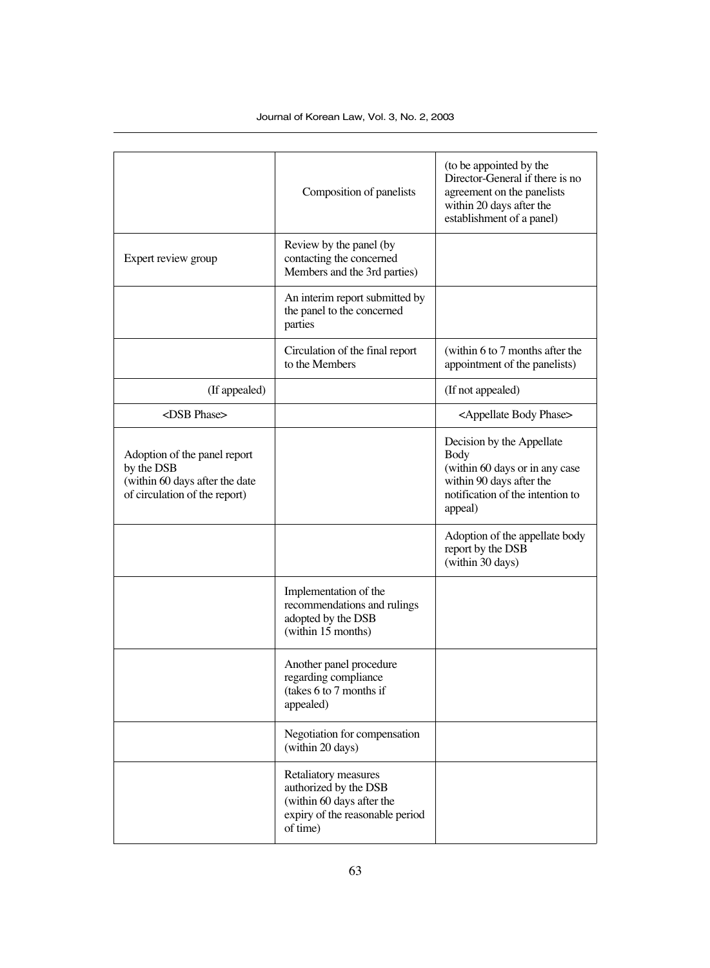|                                                                                                               | Composition of panelists                                                                                                  | (to be appointed by the<br>Director-General if there is no<br>agreement on the panelists<br>within 20 days after the<br>establishment of a panel) |
|---------------------------------------------------------------------------------------------------------------|---------------------------------------------------------------------------------------------------------------------------|---------------------------------------------------------------------------------------------------------------------------------------------------|
| Expert review group                                                                                           | Review by the panel (by<br>contacting the concerned<br>Members and the 3rd parties)                                       |                                                                                                                                                   |
|                                                                                                               | An interim report submitted by<br>the panel to the concerned<br>parties                                                   |                                                                                                                                                   |
|                                                                                                               | Circulation of the final report<br>to the Members                                                                         | (within 6 to 7 months after the<br>appointment of the panelists)                                                                                  |
| (If appealed)                                                                                                 |                                                                                                                           | (If not appealed)                                                                                                                                 |
| <dsb phase=""></dsb>                                                                                          |                                                                                                                           | <appellate body="" phase=""></appellate>                                                                                                          |
| Adoption of the panel report<br>by the DSB<br>(within 60 days after the date<br>of circulation of the report) |                                                                                                                           | Decision by the Appellate<br>Body<br>(within 60 days or in any case<br>within 90 days after the<br>notification of the intention to<br>appeal)    |
|                                                                                                               |                                                                                                                           | Adoption of the appellate body<br>report by the DSB<br>(within 30 days)                                                                           |
|                                                                                                               | Implementation of the<br>recommendations and rulings<br>adopted by the DSB<br>(within 15 months)                          |                                                                                                                                                   |
|                                                                                                               | Another panel procedure<br>regarding compliance<br>(takes 6 to 7 months if<br>appealed)                                   |                                                                                                                                                   |
|                                                                                                               | Negotiation for compensation<br>(within 20 days)                                                                          |                                                                                                                                                   |
|                                                                                                               | Retaliatory measures<br>authorized by the DSB<br>(within 60 days after the<br>expiry of the reasonable period<br>of time) |                                                                                                                                                   |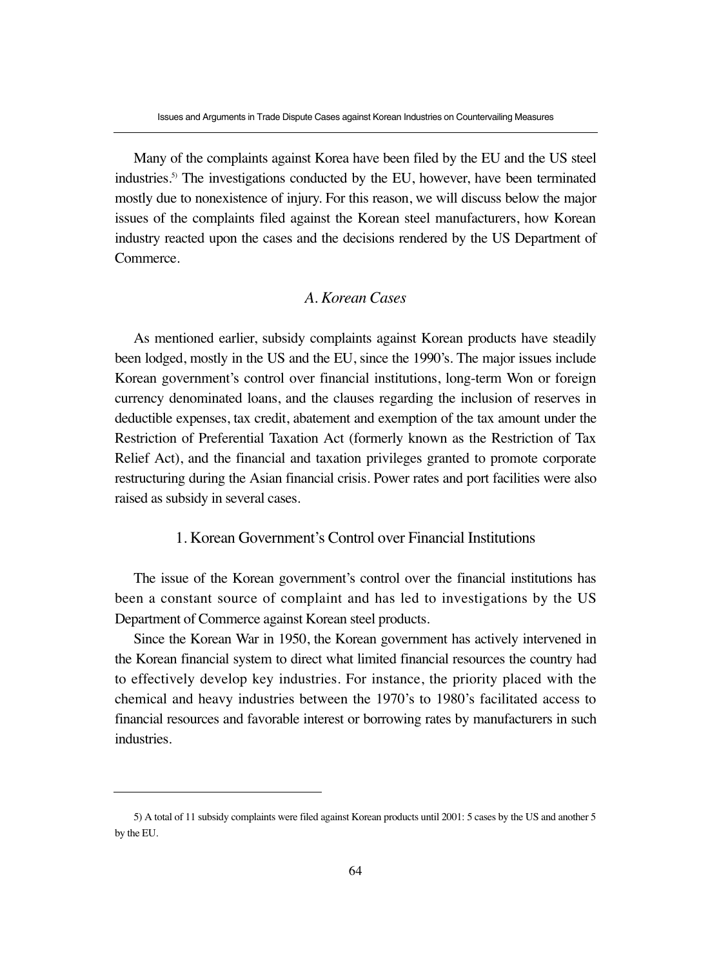Many of the complaints against Korea have been filed by the EU and the US steel industries.5) The investigations conducted by the EU, however, have been terminated mostly due to nonexistence of injury. For this reason, we will discuss below the major issues of the complaints filed against the Korean steel manufacturers, how Korean industry reacted upon the cases and the decisions rendered by the US Department of Commerce.

# *A. Korean Cases*

As mentioned earlier, subsidy complaints against Korean products have steadily been lodged, mostly in the US and the EU, since the 1990's. The major issues include Korean government's control over financial institutions, long-term Won or foreign currency denominated loans, and the clauses regarding the inclusion of reserves in deductible expenses, tax credit, abatement and exemption of the tax amount under the Restriction of Preferential Taxation Act (formerly known as the Restriction of Tax Relief Act), and the financial and taxation privileges granted to promote corporate restructuring during the Asian financial crisis. Power rates and port facilities were also raised as subsidy in several cases.

## 1. Korean Government's Control over Financial Institutions

The issue of the Korean government's control over the financial institutions has been a constant source of complaint and has led to investigations by the US Department of Commerce against Korean steel products.

Since the Korean War in 1950, the Korean government has actively intervened in the Korean financial system to direct what limited financial resources the country had to effectively develop key industries. For instance, the priority placed with the chemical and heavy industries between the 1970's to 1980's facilitated access to financial resources and favorable interest or borrowing rates by manufacturers in such industries.

<sup>5)</sup> A total of 11 subsidy complaints were filed against Korean products until 2001: 5 cases by the US and another 5 by the EU.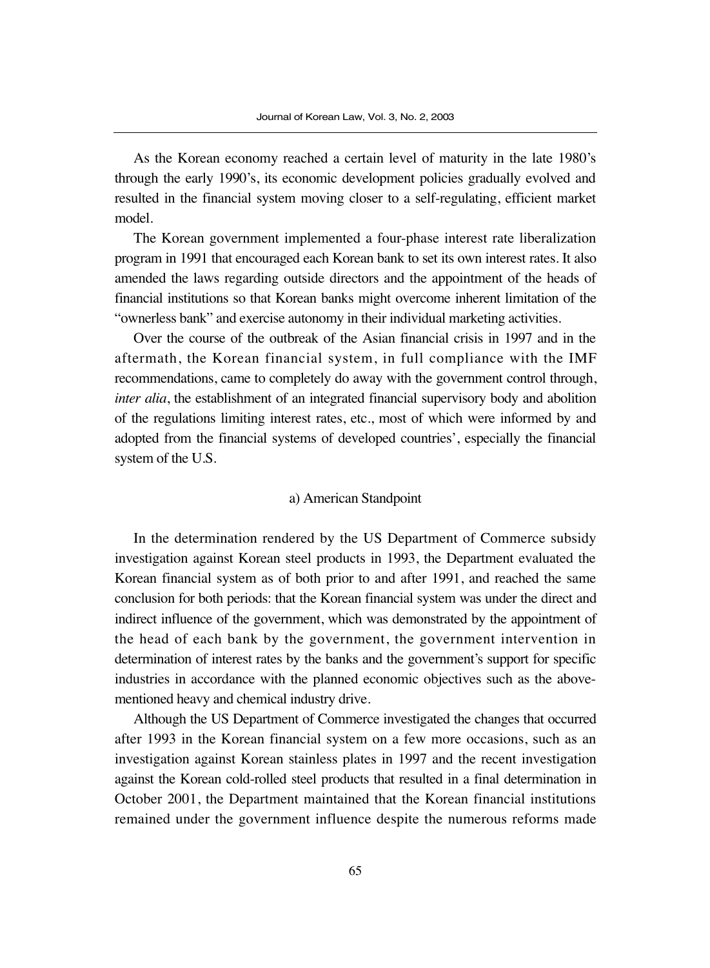As the Korean economy reached a certain level of maturity in the late 1980's through the early 1990's, its economic development policies gradually evolved and resulted in the financial system moving closer to a self-regulating, efficient market model.

The Korean government implemented a four-phase interest rate liberalization program in 1991 that encouraged each Korean bank to set its own interest rates. It also amended the laws regarding outside directors and the appointment of the heads of financial institutions so that Korean banks might overcome inherent limitation of the "ownerless bank" and exercise autonomy in their individual marketing activities.

Over the course of the outbreak of the Asian financial crisis in 1997 and in the aftermath, the Korean financial system, in full compliance with the IMF recommendations, came to completely do away with the government control through, *inter alia*, the establishment of an integrated financial supervisory body and abolition of the regulations limiting interest rates, etc., most of which were informed by and adopted from the financial systems of developed countries', especially the financial system of the U.S.

#### a) American Standpoint

In the determination rendered by the US Department of Commerce subsidy investigation against Korean steel products in 1993, the Department evaluated the Korean financial system as of both prior to and after 1991, and reached the same conclusion for both periods: that the Korean financial system was under the direct and indirect influence of the government, which was demonstrated by the appointment of the head of each bank by the government, the government intervention in determination of interest rates by the banks and the government's support for specific industries in accordance with the planned economic objectives such as the abovementioned heavy and chemical industry drive.

Although the US Department of Commerce investigated the changes that occurred after 1993 in the Korean financial system on a few more occasions, such as an investigation against Korean stainless plates in 1997 and the recent investigation against the Korean cold-rolled steel products that resulted in a final determination in October 2001, the Department maintained that the Korean financial institutions remained under the government influence despite the numerous reforms made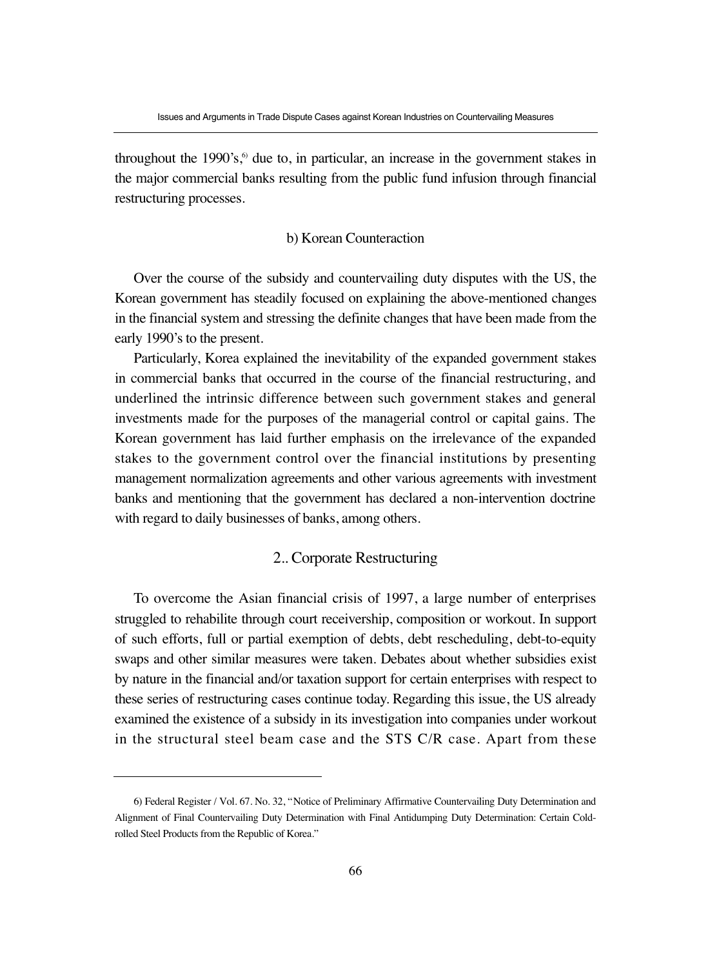throughout the  $1990's$ ,<sup>6</sup> due to, in particular, an increase in the government stakes in the major commercial banks resulting from the public fund infusion through financial restructuring processes.

#### b) Korean Counteraction

Over the course of the subsidy and countervailing duty disputes with the US, the Korean government has steadily focused on explaining the above-mentioned changes in the financial system and stressing the definite changes that have been made from the early 1990's to the present.

Particularly, Korea explained the inevitability of the expanded government stakes in commercial banks that occurred in the course of the financial restructuring, and underlined the intrinsic difference between such government stakes and general investments made for the purposes of the managerial control or capital gains. The Korean government has laid further emphasis on the irrelevance of the expanded stakes to the government control over the financial institutions by presenting management normalization agreements and other various agreements with investment banks and mentioning that the government has declared a non-intervention doctrine with regard to daily businesses of banks, among others.

## 2.. Corporate Restructuring

To overcome the Asian financial crisis of 1997, a large number of enterprises struggled to rehabilite through court receivership, composition or workout. In support of such efforts, full or partial exemption of debts, debt rescheduling, debt-to-equity swaps and other similar measures were taken. Debates about whether subsidies exist by nature in the financial and/or taxation support for certain enterprises with respect to these series of restructuring cases continue today. Regarding this issue, the US already examined the existence of a subsidy in its investigation into companies under workout in the structural steel beam case and the STS C/R case. Apart from these

<sup>6)</sup> Federal Register / Vol. 67. No. 32, "Notice of Preliminary Affirmative Countervailing Duty Determination and Alignment of Final Countervailing Duty Determination with Final Antidumping Duty Determination: Certain Coldrolled Steel Products from the Republic of Korea."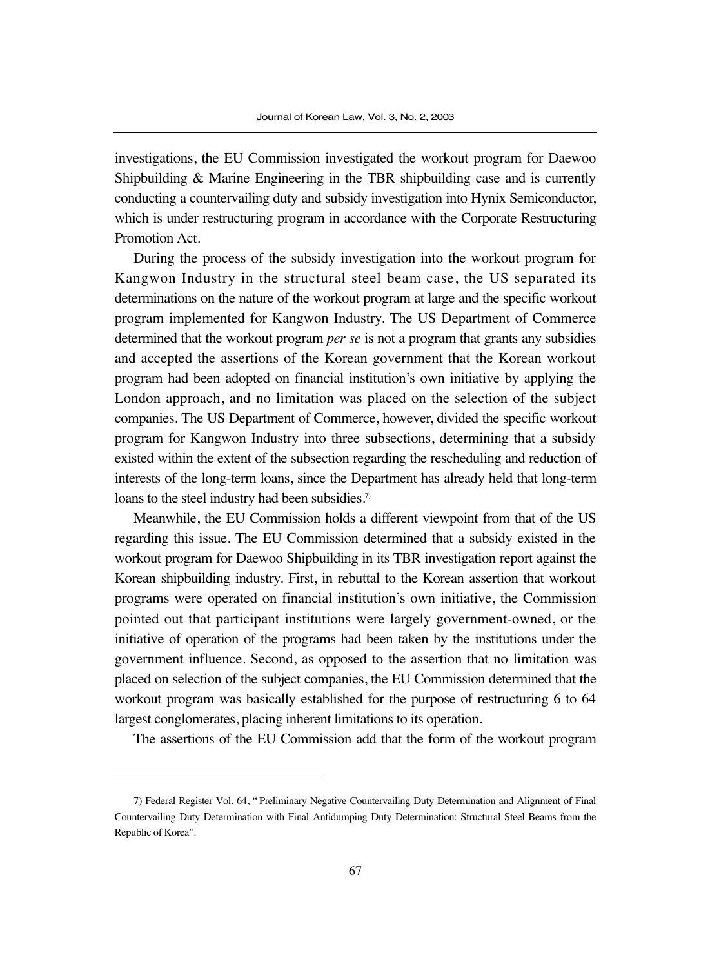investigations, the EU Commission investigated the workout program for Daewoo Shipbuilding & Marine Engineering in the TBR shipbuilding case and is currently conducting a countervailing duty and subsidy investigation into Hynix Semiconductor, which is under restructuring program in accordance with the Corporate Restructuring Promotion Act.

During the process of the subsidy investigation into the workout program for Kangwon Industry in the structural steel beam case, the US separated its determinations on the nature of the workout program at large and the specific workout program implemented for Kangwon Industry. The US Department of Commerce determined that the workout program *per se* is not a program that grants any subsidies and accepted the assertions of the Korean government that the Korean workout program had been adopted on financial institution's own initiative by applying the London approach, and no limitation was placed on the selection of the subject companies. The US Department of Commerce, however, divided the specific workout program for Kangwon Industry into three subsections, determining that a subsidy existed within the extent of the subsection regarding the rescheduling and reduction of interests of the long-term loans, since the Department has already held that long-term loans to the steel industry had been subsidies.<sup>7)</sup>

Meanwhile, the EU Commission holds a different viewpoint from that of the US regarding this issue. The EU Commission determined that a subsidy existed in the workout program for Daewoo Shipbuilding in its TBR investigation report against the Korean shipbuilding industry. First, in rebuttal to the Korean assertion that workout programs were operated on financial institution's own initiative, the Commission pointed out that participant institutions were largely government-owned, or the initiative of operation of the programs had been taken by the institutions under the government influence. Second, as opposed to the assertion that no limitation was placed on selection of the subject companies, the EU Commission determined that the workout program was basically established for the purpose of restructuring 6 to 64 largest conglomerates, placing inherent limitations to its operation.

The assertions of the EU Commission add that the form of the workout program

<sup>7)</sup> Federal Register Vol. 64, " Preliminary Negative Countervailing Duty Determination and Alignment of Final Countervailing Duty Determination with Final Antidumping Duty Determination: Structural Steel Beams from the Republic of Korea".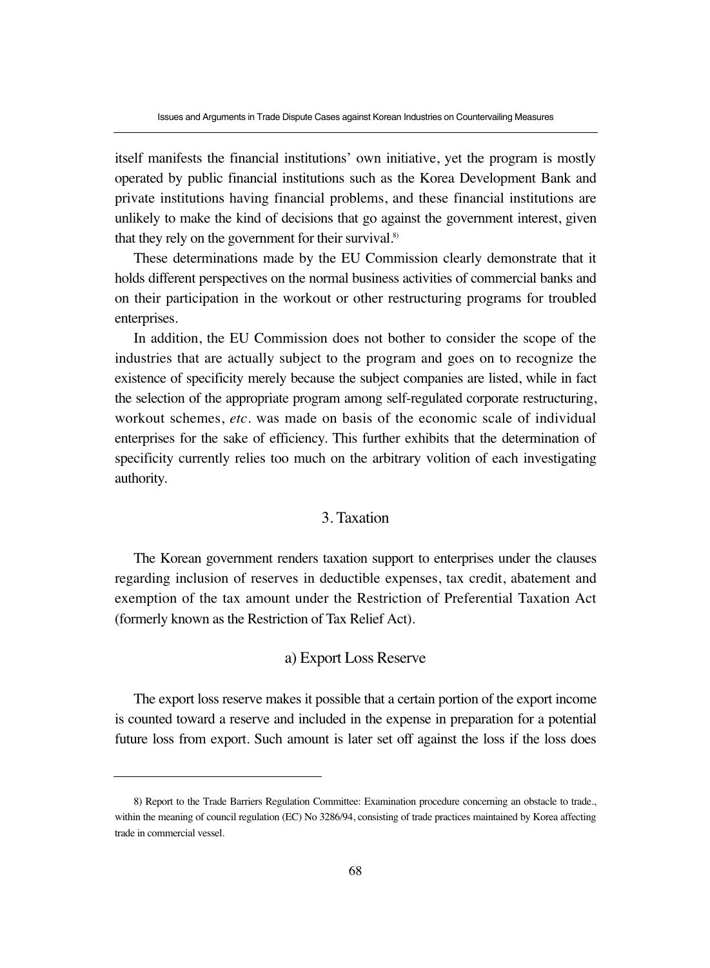itself manifests the financial institutions' own initiative, yet the program is mostly operated by public financial institutions such as the Korea Development Bank and private institutions having financial problems, and these financial institutions are unlikely to make the kind of decisions that go against the government interest, given that they rely on the government for their survival.<sup>8)</sup>

These determinations made by the EU Commission clearly demonstrate that it holds different perspectives on the normal business activities of commercial banks and on their participation in the workout or other restructuring programs for troubled enterprises.

In addition, the EU Commission does not bother to consider the scope of the industries that are actually subject to the program and goes on to recognize the existence of specificity merely because the subject companies are listed, while in fact the selection of the appropriate program among self-regulated corporate restructuring, workout schemes, *etc*. was made on basis of the economic scale of individual enterprises for the sake of efficiency. This further exhibits that the determination of specificity currently relies too much on the arbitrary volition of each investigating authority.

# 3. Taxation

The Korean government renders taxation support to enterprises under the clauses regarding inclusion of reserves in deductible expenses, tax credit, abatement and exemption of the tax amount under the Restriction of Preferential Taxation Act (formerly known as the Restriction of Tax Relief Act).

# a) Export Loss Reserve

The export loss reserve makes it possible that a certain portion of the export income is counted toward a reserve and included in the expense in preparation for a potential future loss from export. Such amount is later set off against the loss if the loss does

<sup>8)</sup> Report to the Trade Barriers Regulation Committee: Examination procedure concerning an obstacle to trade., within the meaning of council regulation (EC) No 3286/94, consisting of trade practices maintained by Korea affecting trade in commercial vessel.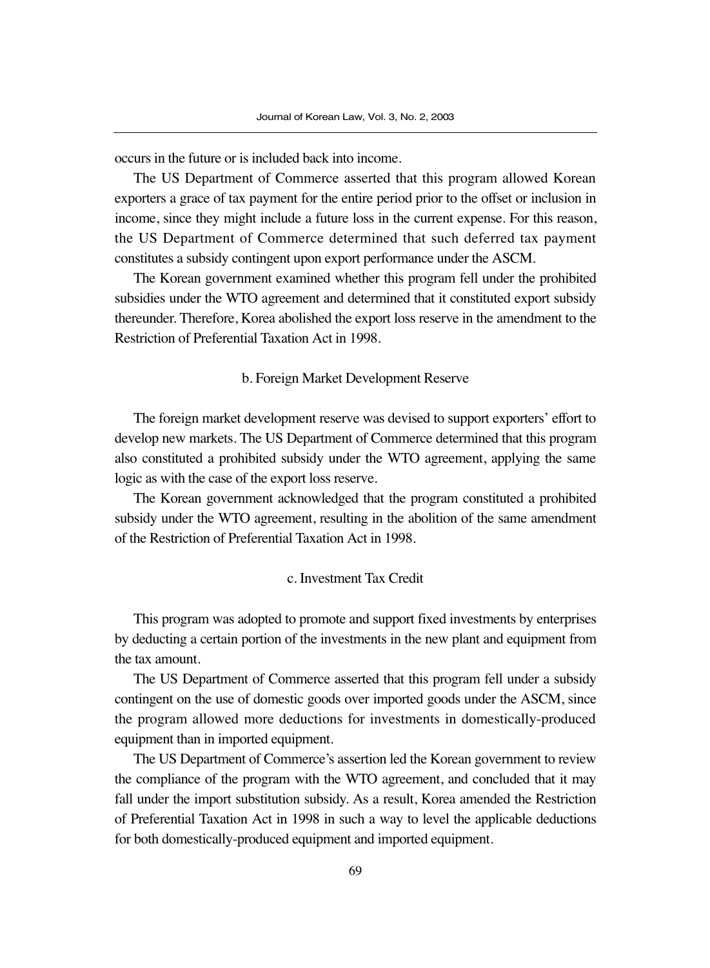occurs in the future or is included back into income.

The US Department of Commerce asserted that this program allowed Korean exporters a grace of tax payment for the entire period prior to the offset or inclusion in income, since they might include a future loss in the current expense. For this reason, the US Department of Commerce determined that such deferred tax payment constitutes a subsidy contingent upon export performance under the ASCM.

The Korean government examined whether this program fell under the prohibited subsidies under the WTO agreement and determined that it constituted export subsidy thereunder. Therefore, Korea abolished the export loss reserve in the amendment to the Restriction of Preferential Taxation Act in 1998.

#### b. Foreign Market Development Reserve

The foreign market development reserve was devised to support exporters' effort to develop new markets. The US Department of Commerce determined that this program also constituted a prohibited subsidy under the WTO agreement, applying the same logic as with the case of the export loss reserve.

The Korean government acknowledged that the program constituted a prohibited subsidy under the WTO agreement, resulting in the abolition of the same amendment of the Restriction of Preferential Taxation Act in 1998.

#### c. Investment Tax Credit

This program was adopted to promote and support fixed investments by enterprises by deducting a certain portion of the investments in the new plant and equipment from the tax amount.

The US Department of Commerce asserted that this program fell under a subsidy contingent on the use of domestic goods over imported goods under the ASCM, since the program allowed more deductions for investments in domestically-produced equipment than in imported equipment.

The US Department of Commerce's assertion led the Korean government to review the compliance of the program with the WTO agreement, and concluded that it may fall under the import substitution subsidy. As a result, Korea amended the Restriction of Preferential Taxation Act in 1998 in such a way to level the applicable deductions for both domestically-produced equipment and imported equipment.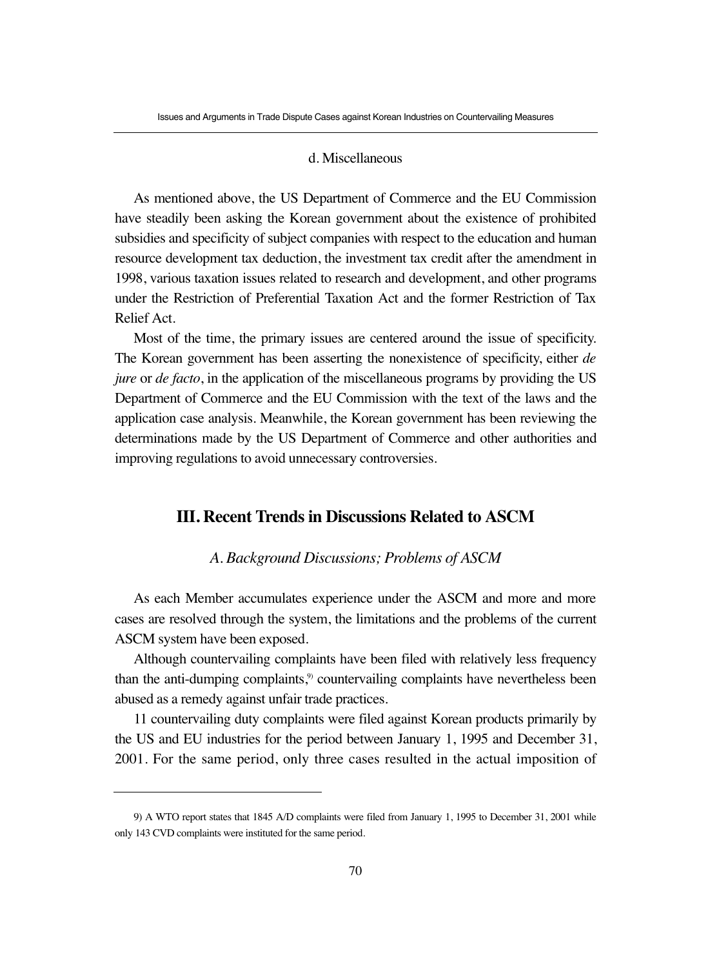#### d. Miscellaneous

As mentioned above, the US Department of Commerce and the EU Commission have steadily been asking the Korean government about the existence of prohibited subsidies and specificity of subject companies with respect to the education and human resource development tax deduction, the investment tax credit after the amendment in 1998, various taxation issues related to research and development, and other programs under the Restriction of Preferential Taxation Act and the former Restriction of Tax Relief Act.

Most of the time, the primary issues are centered around the issue of specificity. The Korean government has been asserting the nonexistence of specificity, either *de jure* or *de facto*, in the application of the miscellaneous programs by providing the US Department of Commerce and the EU Commission with the text of the laws and the application case analysis. Meanwhile, the Korean government has been reviewing the determinations made by the US Department of Commerce and other authorities and improving regulations to avoid unnecessary controversies.

# **III. Recent Trends in Discussions Related to ASCM**

#### *A. Background Discussions; Problems of ASCM*

As each Member accumulates experience under the ASCM and more and more cases are resolved through the system, the limitations and the problems of the current ASCM system have been exposed.

Although countervailing complaints have been filed with relatively less frequency than the anti-dumping complaints,<sup>9)</sup> countervailing complaints have nevertheless been abused as a remedy against unfair trade practices.

11 countervailing duty complaints were filed against Korean products primarily by the US and EU industries for the period between January 1, 1995 and December 31, 2001. For the same period, only three cases resulted in the actual imposition of

<sup>9)</sup> A WTO report states that 1845 A/D complaints were filed from January 1, 1995 to December 31, 2001 while only 143 CVD complaints were instituted for the same period.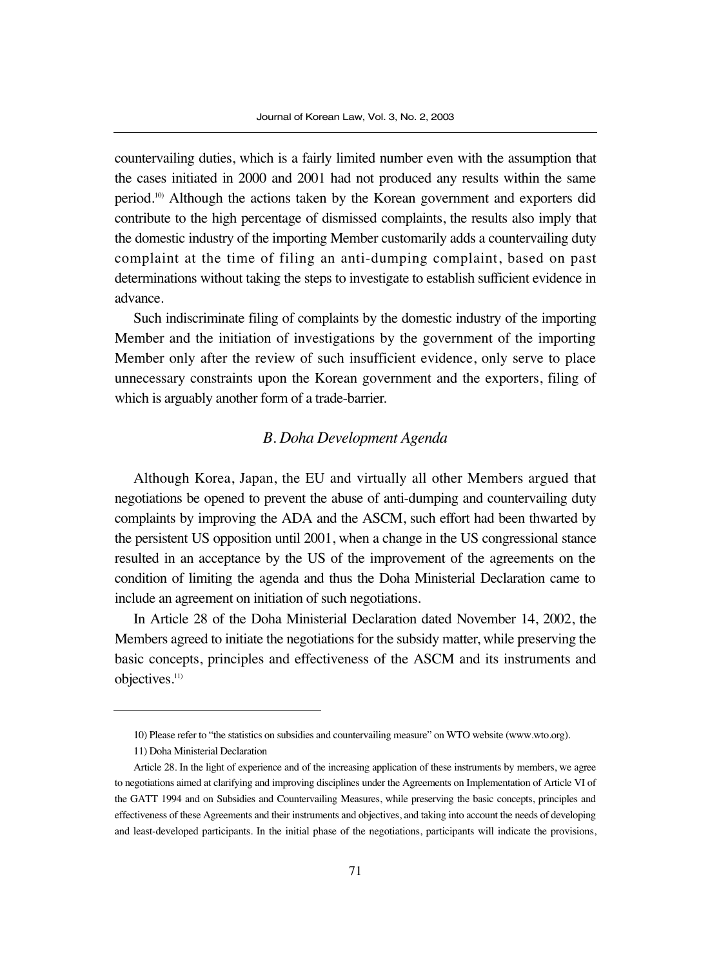countervailing duties, which is a fairly limited number even with the assumption that the cases initiated in 2000 and 2001 had not produced any results within the same period.10) Although the actions taken by the Korean government and exporters did contribute to the high percentage of dismissed complaints, the results also imply that the domestic industry of the importing Member customarily adds a countervailing duty complaint at the time of filing an anti-dumping complaint, based on past determinations without taking the steps to investigate to establish sufficient evidence in advance.

Such indiscriminate filing of complaints by the domestic industry of the importing Member and the initiation of investigations by the government of the importing Member only after the review of such insufficient evidence, only serve to place unnecessary constraints upon the Korean government and the exporters, filing of which is arguably another form of a trade-barrier.

## *B. Doha Development Agenda*

Although Korea, Japan, the EU and virtually all other Members argued that negotiations be opened to prevent the abuse of anti-dumping and countervailing duty complaints by improving the ADA and the ASCM, such effort had been thwarted by the persistent US opposition until 2001, when a change in the US congressional stance resulted in an acceptance by the US of the improvement of the agreements on the condition of limiting the agenda and thus the Doha Ministerial Declaration came to include an agreement on initiation of such negotiations.

In Article 28 of the Doha Ministerial Declaration dated November 14, 2002, the Members agreed to initiate the negotiations for the subsidy matter, while preserving the basic concepts, principles and effectiveness of the ASCM and its instruments and objectives.<sup>11)</sup>

<sup>10)</sup> Please refer to "the statistics on subsidies and countervailing measure" on WTO website (www.wto.org).

<sup>11)</sup> Doha Ministerial Declaration

Article 28. In the light of experience and of the increasing application of these instruments by members, we agree to negotiations aimed at clarifying and improving disciplines under the Agreements on Implementation of Article VI of the GATT 1994 and on Subsidies and Countervailing Measures, while preserving the basic concepts, principles and effectiveness of these Agreements and their instruments and objectives, and taking into account the needs of developing and least-developed participants. In the initial phase of the negotiations, participants will indicate the provisions,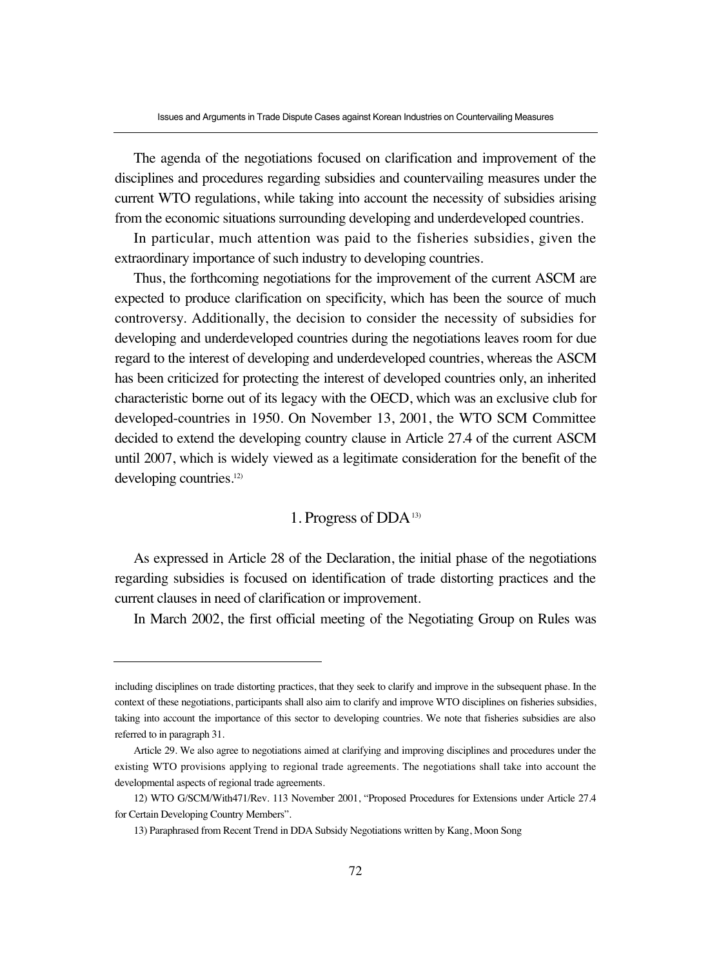The agenda of the negotiations focused on clarification and improvement of the disciplines and procedures regarding subsidies and countervailing measures under the current WTO regulations, while taking into account the necessity of subsidies arising from the economic situations surrounding developing and underdeveloped countries.

In particular, much attention was paid to the fisheries subsidies, given the extraordinary importance of such industry to developing countries.

Thus, the forthcoming negotiations for the improvement of the current ASCM are expected to produce clarification on specificity, which has been the source of much controversy. Additionally, the decision to consider the necessity of subsidies for developing and underdeveloped countries during the negotiations leaves room for due regard to the interest of developing and underdeveloped countries, whereas the ASCM has been criticized for protecting the interest of developed countries only, an inherited characteristic borne out of its legacy with the OECD, which was an exclusive club for developed-countries in 1950. On November 13, 2001, the WTO SCM Committee decided to extend the developing country clause in Article 27.4 of the current ASCM until 2007, which is widely viewed as a legitimate consideration for the benefit of the developing countries.<sup>12)</sup>

## 1. Progress of DDA<sup>13)</sup>

As expressed in Article 28 of the Declaration, the initial phase of the negotiations regarding subsidies is focused on identification of trade distorting practices and the current clauses in need of clarification or improvement.

In March 2002, the first official meeting of the Negotiating Group on Rules was

including disciplines on trade distorting practices, that they seek to clarify and improve in the subsequent phase. In the context of these negotiations, participants shall also aim to clarify and improve WTO disciplines on fisheries subsidies, taking into account the importance of this sector to developing countries. We note that fisheries subsidies are also referred to in paragraph 31.

Article 29. We also agree to negotiations aimed at clarifying and improving disciplines and procedures under the existing WTO provisions applying to regional trade agreements. The negotiations shall take into account the developmental aspects of regional trade agreements.

<sup>12)</sup> WTO G/SCM/With471/Rev. 113 November 2001, "Proposed Procedures for Extensions under Article 27.4 for Certain Developing Country Members".

<sup>13)</sup> Paraphrased from Recent Trend in DDA Subsidy Negotiations written by Kang, Moon Song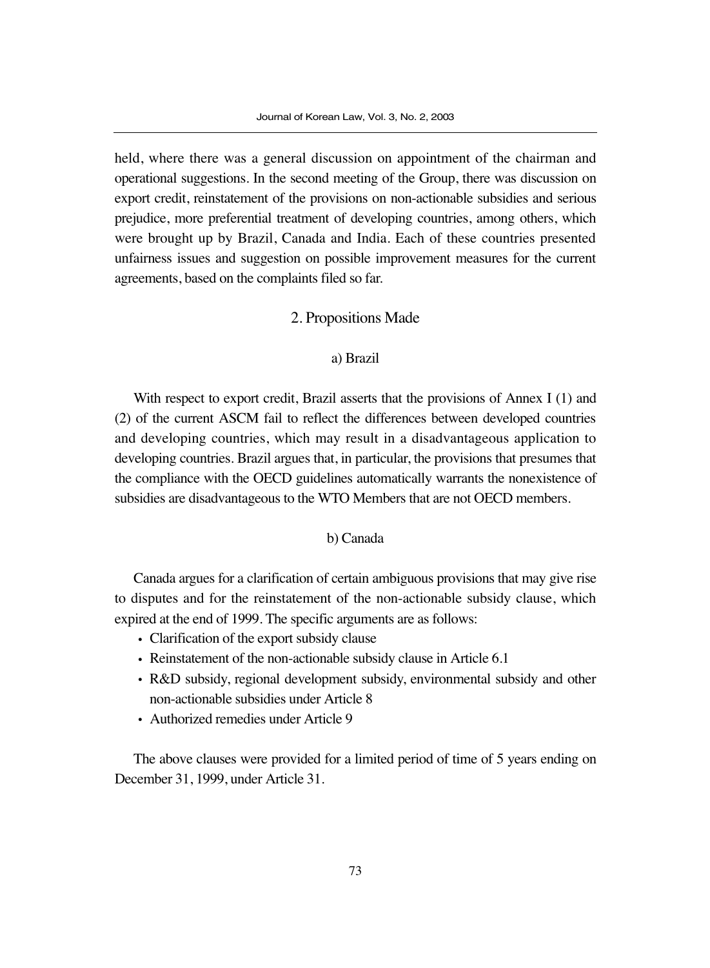held, where there was a general discussion on appointment of the chairman and operational suggestions. In the second meeting of the Group, there was discussion on export credit, reinstatement of the provisions on non-actionable subsidies and serious prejudice, more preferential treatment of developing countries, among others, which were brought up by Brazil, Canada and India. Each of these countries presented unfairness issues and suggestion on possible improvement measures for the current agreements, based on the complaints filed so far.

#### 2. Propositions Made

#### a) Brazil

With respect to export credit, Brazil asserts that the provisions of Annex I (1) and (2) of the current ASCM fail to reflect the differences between developed countries and developing countries, which may result in a disadvantageous application to developing countries. Brazil argues that, in particular, the provisions that presumes that the compliance with the OECD guidelines automatically warrants the nonexistence of subsidies are disadvantageous to the WTO Members that are not OECD members.

#### b) Canada

Canada argues for a clarification of certain ambiguous provisions that may give rise to disputes and for the reinstatement of the non-actionable subsidy clause, which expired at the end of 1999. The specific arguments are as follows:

- Clarification of the export subsidy clause
- Reinstatement of the non-actionable subsidy clause in Article 6.1
- R&D subsidy, regional development subsidy, environmental subsidy and other non-actionable subsidies under Article 8
- Authorized remedies under Article 9

The above clauses were provided for a limited period of time of 5 years ending on December 31, 1999, under Article 31.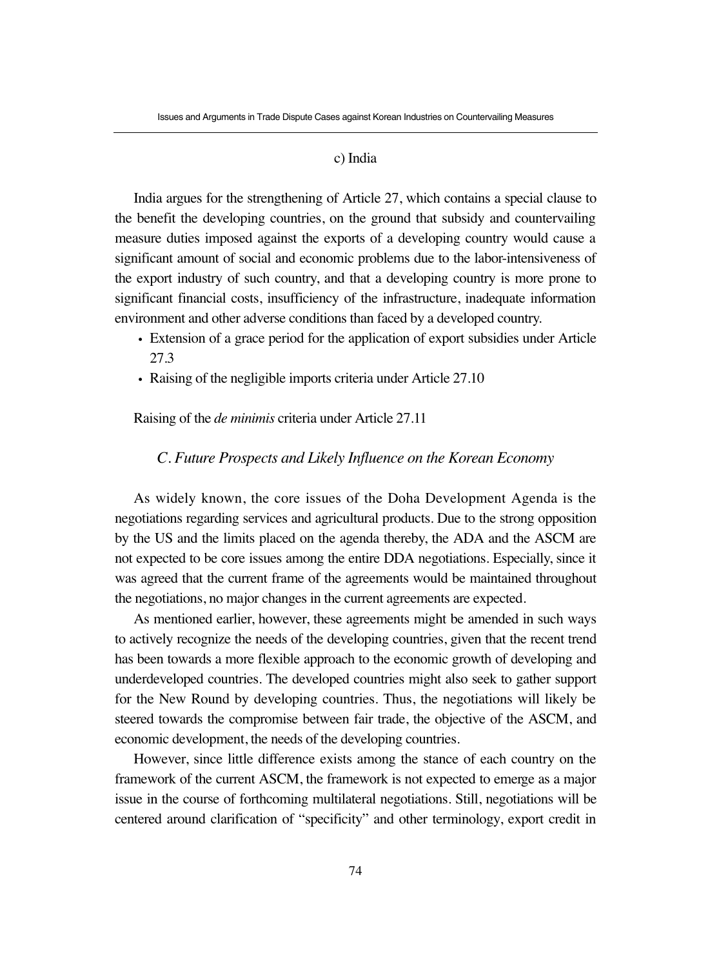#### c) India

India argues for the strengthening of Article 27, which contains a special clause to the benefit the developing countries, on the ground that subsidy and countervailing measure duties imposed against the exports of a developing country would cause a significant amount of social and economic problems due to the labor-intensiveness of the export industry of such country, and that a developing country is more prone to significant financial costs, insufficiency of the infrastructure, inadequate information environment and other adverse conditions than faced by a developed country.

- Extension of a grace period for the application of export subsidies under Article 27.3
- Raising of the negligible imports criteria under Article 27.10

#### Raising of the *de minimis* criteria under Article 27.11

#### *C. Future Prospects and Likely Influence on the Korean Economy*

As widely known, the core issues of the Doha Development Agenda is the negotiations regarding services and agricultural products. Due to the strong opposition by the US and the limits placed on the agenda thereby, the ADA and the ASCM are not expected to be core issues among the entire DDA negotiations. Especially, since it was agreed that the current frame of the agreements would be maintained throughout the negotiations, no major changes in the current agreements are expected.

As mentioned earlier, however, these agreements might be amended in such ways to actively recognize the needs of the developing countries, given that the recent trend has been towards a more flexible approach to the economic growth of developing and underdeveloped countries. The developed countries might also seek to gather support for the New Round by developing countries. Thus, the negotiations will likely be steered towards the compromise between fair trade, the objective of the ASCM, and economic development, the needs of the developing countries.

However, since little difference exists among the stance of each country on the framework of the current ASCM, the framework is not expected to emerge as a major issue in the course of forthcoming multilateral negotiations. Still, negotiations will be centered around clarification of "specificity" and other terminology, export credit in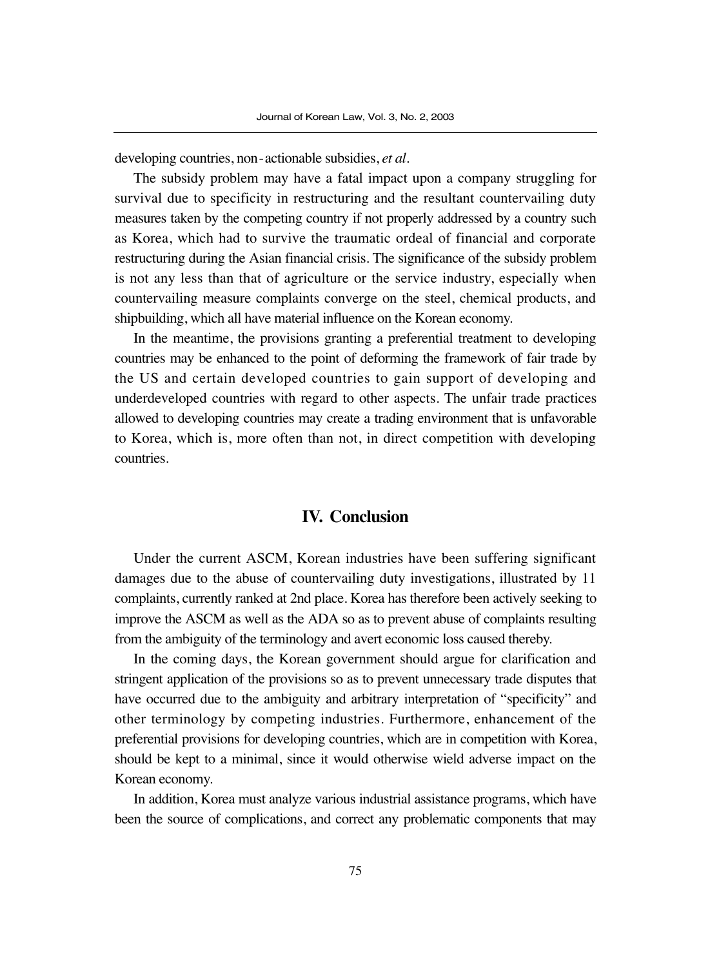developing countries, non-actionable subsidies, *et al*.

The subsidy problem may have a fatal impact upon a company struggling for survival due to specificity in restructuring and the resultant countervailing duty measures taken by the competing country if not properly addressed by a country such as Korea, which had to survive the traumatic ordeal of financial and corporate restructuring during the Asian financial crisis. The significance of the subsidy problem is not any less than that of agriculture or the service industry, especially when countervailing measure complaints converge on the steel, chemical products, and shipbuilding, which all have material influence on the Korean economy.

In the meantime, the provisions granting a preferential treatment to developing countries may be enhanced to the point of deforming the framework of fair trade by the US and certain developed countries to gain support of developing and underdeveloped countries with regard to other aspects. The unfair trade practices allowed to developing countries may create a trading environment that is unfavorable to Korea, which is, more often than not, in direct competition with developing countries.

# **IV. Conclusion**

Under the current ASCM, Korean industries have been suffering significant damages due to the abuse of countervailing duty investigations, illustrated by 11 complaints, currently ranked at 2nd place. Korea has therefore been actively seeking to improve the ASCM as well as the ADA so as to prevent abuse of complaints resulting from the ambiguity of the terminology and avert economic loss caused thereby.

In the coming days, the Korean government should argue for clarification and stringent application of the provisions so as to prevent unnecessary trade disputes that have occurred due to the ambiguity and arbitrary interpretation of "specificity" and other terminology by competing industries. Furthermore, enhancement of the preferential provisions for developing countries, which are in competition with Korea, should be kept to a minimal, since it would otherwise wield adverse impact on the Korean economy.

In addition, Korea must analyze various industrial assistance programs, which have been the source of complications, and correct any problematic components that may